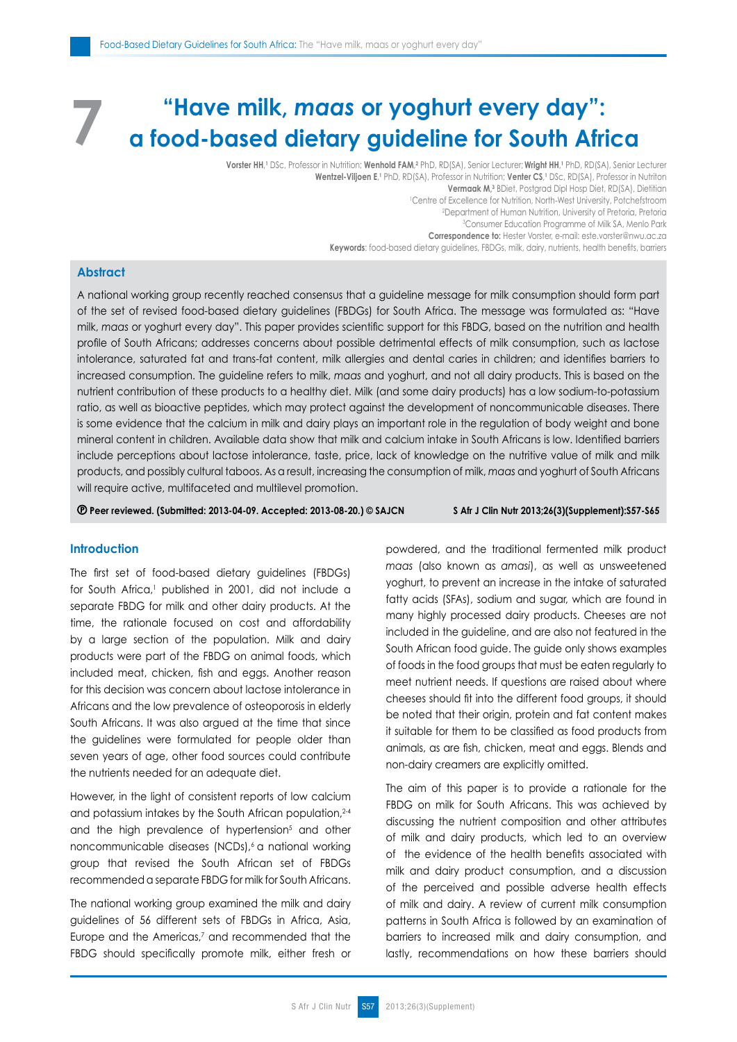# **"Have milk,** *maas* **or yoghurt every day": a food-based dietary guideline for South Africa 7**

 $\blacksquare$  **Vorster HH,**  $\blacksquare$  DSc, Professor in Nutrition; <code>Wenhold FAM,?</code> PhD,  $\blacksquare$  RD(SA), Senior  $\blacksquare$  RD(SA), Senior Lecturer; <code>Wright</code> HH, <code>l</code> PhD, <code>RD(SA), Senior Lecturer</code> **Wentzel-Viljoen E**, **1** PhD, RD(SA), Professor in Nutrition; **Venter CS**, **1** DSc, RD(SA), Professor in Nutriton **Vermaak M,3** BDiet, Postgrad Dipl Hosp Diet, RD(SA), Dietitian 1 Centre of Excellence for Nutrition, North-West University, Potchefstroom 2 Department of Human Nutrition, University of Pretoria, Pretoria 3 Consumer Education Programme of Milk SA, Menlo Park **Correspondence to:** Hester Vorster, e-mail: este.vorster@nwu.ac.za **Keywords**: food-based dietary guidelines, FBDGs, milk, dairy, nutrients, health benefits, barriers

## **Abstract**

A national working group recently reached consensus that a guideline message for milk consumption should form part of the set of revised food-based dietary guidelines (FBDGs) for South Africa. The message was formulated as: "Have milk, *maas* or yoghurt every day". This paper provides scientific support for this FBDG, based on the nutrition and health profile of South Africans; addresses concerns about possible detrimental effects of milk consumption, such as lactose intolerance, saturated fat and trans-fat content, milk allergies and dental caries in children; and identifies barriers to increased consumption. The guideline refers to milk, *maas* and yoghurt, and not all dairy products. This is based on the nutrient contribution of these products to a healthy diet. Milk (and some dairy products) has a low sodium-to-potassium ratio, as well as bioactive peptides, which may protect against the development of noncommunicable diseases. There is some evidence that the calcium in milk and dairy plays an important role in the regulation of body weight and bone mineral content in children. Available data show that milk and calcium intake in South Africans is low. Identified barriers include perceptions about lactose intolerance, taste, price, lack of knowledge on the nutritive value of milk and milk products, and possibly cultural taboos. As a result, increasing the consumption of milk, *maas* and yoghurt of South Africans will require active, multifaceted and multilevel promotion.

 **Peer reviewed. (Submitted: 2013-04-09. Accepted: 2013-08-20.) © SAJCN S Afr J Clin Nutr 2013;26(3)(Supplement):S57-S65**

### **Introduction**

The first set of food-based dietary guidelines (FBDGs) for South Africa,<sup>1</sup> published in 2001, did not include a separate FBDG for milk and other dairy products. At the time, the rationale focused on cost and affordability by a large section of the population. Milk and dairy products were part of the FBDG on animal foods, which included meat, chicken, fish and eggs. Another reason for this decision was concern about lactose intolerance in Africans and the low prevalence of osteoporosis in elderly South Africans. It was also argued at the time that since the guidelines were formulated for people older than seven years of age, other food sources could contribute the nutrients needed for an adequate diet.

However, in the light of consistent reports of low calcium and potassium intakes by the South African population, 2-4 and the high prevalence of hypertension<sup>5</sup> and other noncommunicable diseases (NCDs),<sup>6</sup> a national working group that revised the South African set of FBDGs recommended a separate FBDG for milk for South Africans.

The national working group examined the milk and dairy guidelines of 56 different sets of FBDGs in Africa, Asia, Europe and the Americas,<sup>7</sup> and recommended that the FBDG should specifically promote milk, either fresh or powdered, and the traditional fermented milk product *maas* (also known as *amasi*), as well as unsweetened yoghurt, to prevent an increase in the intake of saturated fatty acids (SFAs), sodium and sugar, which are found in many highly processed dairy products. Cheeses are not included in the guideline, and are also not featured in the South African food guide. The guide only shows examples of foods in the food groups that must be eaten regularly to meet nutrient needs. If questions are raised about where cheeses should fit into the different food groups, it should be noted that their origin, protein and fat content makes it suitable for them to be classified as food products from animals, as are fish, chicken, meat and eggs. Blends and non-dairy creamers are explicitly omitted.

The aim of this paper is to provide a rationale for the FBDG on milk for South Africans. This was achieved by discussing the nutrient composition and other attributes of milk and dairy products, which led to an overview of the evidence of the health benefits associated with milk and dairy product consumption, and a discussion of the perceived and possible adverse health effects of milk and dairy. A review of current milk consumption patterns in South Africa is followed by an examination of barriers to increased milk and dairy consumption, and lastly, recommendations on how these barriers should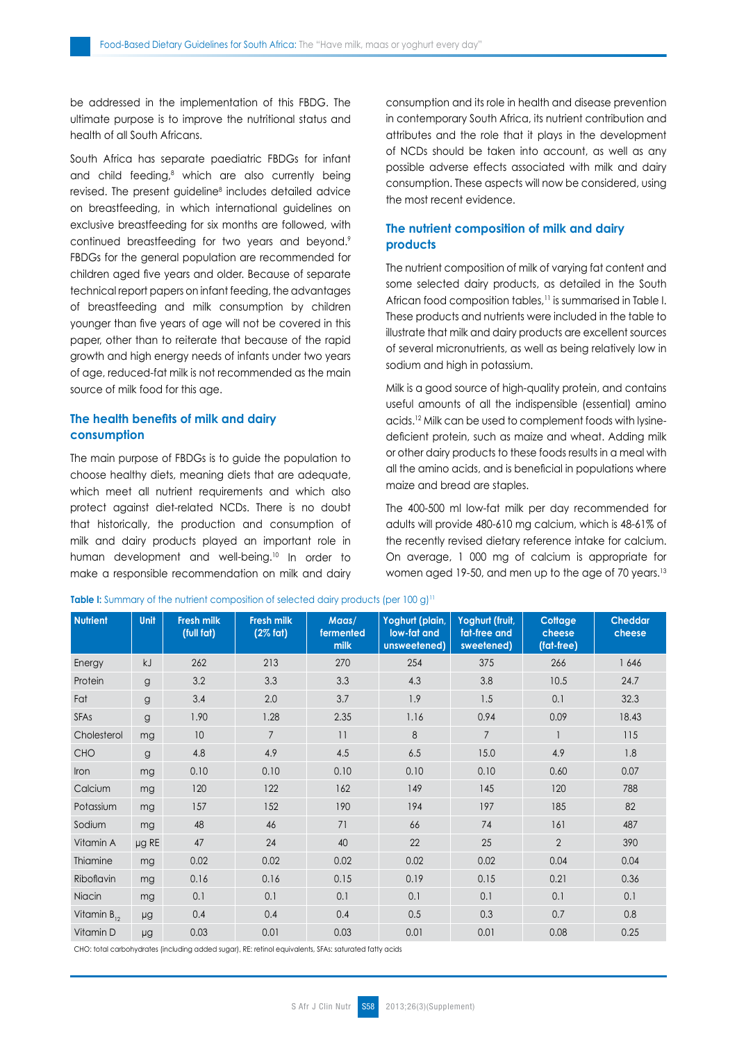be addressed in the implementation of this FBDG. The ultimate purpose is to improve the nutritional status and health of all South Africans.

South Africa has separate paediatric FBDGs for infant and child feeding,<sup>8</sup> which are also currently being revised. The present guideline<sup>8</sup> includes detailed advice on breastfeeding, in which international guidelines on exclusive breastfeeding for six months are followed, with continued breastfeeding for two years and beyond.<sup>9</sup> FBDGs for the general population are recommended for children aged five years and older. Because of separate technical report papers on infant feeding, the advantages of breastfeeding and milk consumption by children younger than five years of age will not be covered in this paper, other than to reiterate that because of the rapid growth and high energy needs of infants under two years of age, reduced-fat milk is not recommended as the main source of milk food for this age.

## **The health benefits of milk and dairy consumption**

The main purpose of FBDGs is to guide the population to choose healthy diets, meaning diets that are adequate, which meet all nutrient requirements and which also protect against diet-related NCDs. There is no doubt that historically, the production and consumption of milk and dairy products played an important role in human development and well-being.<sup>10</sup> In order to make a responsible recommendation on milk and dairy consumption and its role in health and disease prevention in contemporary South Africa, its nutrient contribution and attributes and the role that it plays in the development of NCDs should be taken into account, as well as any possible adverse effects associated with milk and dairy consumption. These aspects will now be considered, using the most recent evidence.

## **The nutrient composition of milk and dairy products**

The nutrient composition of milk of varying fat content and some selected dairy products, as detailed in the South African food composition tables,<sup>11</sup> is summarised in Table I. These products and nutrients were included in the table to illustrate that milk and dairy products are excellent sources of several micronutrients, as well as being relatively low in sodium and high in potassium.

Milk is a good source of high-quality protein, and contains useful amounts of all the indispensible (essential) amino acids.12 Milk can be used to complement foods with lysinedeficient protein, such as maize and wheat. Adding milk or other dairy products to these foods results in a meal with all the amino acids, and is beneficial in populations where maize and bread are staples.

The 400-500 ml low-fat milk per day recommended for adults will provide 480-610 mg calcium, which is 48-61% of the recently revised dietary reference intake for calcium. On average, 1 000 mg of calcium is appropriate for women aged 19-50, and men up to the age of 70 years.<sup>13</sup>

| <b>Nutrient</b>  | Unit         | <b>Fresh milk</b><br>(full fat) | <b>Fresh milk</b><br>$(2%$ fat) | Maas/<br>fermented<br>milk | Yoghurt (plain,<br>low-fat and<br>unsweetened) | Yoghurt (fruit,<br>fat-free and<br>sweetened) | Cottage<br>cheese<br>(fat-free) | <b>Cheddar</b><br>cheese |
|------------------|--------------|---------------------------------|---------------------------------|----------------------------|------------------------------------------------|-----------------------------------------------|---------------------------------|--------------------------|
| Energy           | kJ           | 262                             | 213                             | 270                        | 254                                            | 375                                           | 266                             | 1646                     |
| Protein          | $\mathsf{g}$ | 3.2                             | 3.3                             | 3.3                        | 4.3                                            | 3.8                                           | 10.5                            | 24.7                     |
| Fat              | g            | 3.4                             | 2.0                             | 3.7                        | 1.9                                            | 1.5                                           | 0.1                             | 32.3                     |
| <b>SFAs</b>      | g            | 1.90                            | 1.28                            | 2.35                       | 1.16                                           | 0.94                                          | 0.09                            | 18.43                    |
| Cholesterol      | mg           | 10                              | $\overline{7}$                  | 11                         | 8                                              | $\overline{7}$                                |                                 | 115                      |
| <b>CHO</b>       | g            | 4.8                             | 4.9                             | 4.5                        | $6.5\,$                                        | 15.0                                          | 4.9                             | 1.8                      |
| Iron             | mg           | 0.10                            | 0.10                            | 0.10                       | 0.10                                           | 0.10                                          | 0.60                            | 0.07                     |
| Calcium          | mg           | 120                             | 122                             | 162                        | 149                                            | 145                                           | 120                             | 788                      |
| Potassium        | mg           | 157                             | 152                             | 190                        | 194                                            | 197                                           | 185                             | 82                       |
| Sodium           | mg           | 48                              | 46                              | 71                         | 66                                             | 74                                            | 161                             | 487                      |
| Vitamin A        | $\mu$ g RE   | 47                              | 24                              | 40                         | 22                                             | 25                                            | $\overline{2}$                  | 390                      |
| Thiamine         | mg           | 0.02                            | 0.02                            | 0.02                       | 0.02                                           | 0.02                                          | 0.04                            | 0.04                     |
| Riboflavin       | mg           | 0.16                            | 0.16                            | 0.15                       | 0.19                                           | 0.15                                          | 0.21                            | 0.36                     |
| Niacin           | mg           | 0.1                             | 0.1                             | 0.1                        | 0.1                                            | 0.1                                           | 0.1                             | 0.1                      |
| Vitamin $B_{12}$ | μg           | 0.4                             | 0.4                             | 0.4                        | 0.5                                            | 0.3                                           | 0.7                             | 0.8                      |
| Vitamin D        | μg           | 0.03                            | 0.01                            | 0.03                       | 0.01                                           | 0.01                                          | 0.08                            | 0.25                     |

**Table I:** Summary of the nutrient composition of selected dairy products (per 100 g)<sup>11</sup>

CHO: total carbohydrates (including added sugar), RE: retinol equivalents, SFAs: saturated fatty acids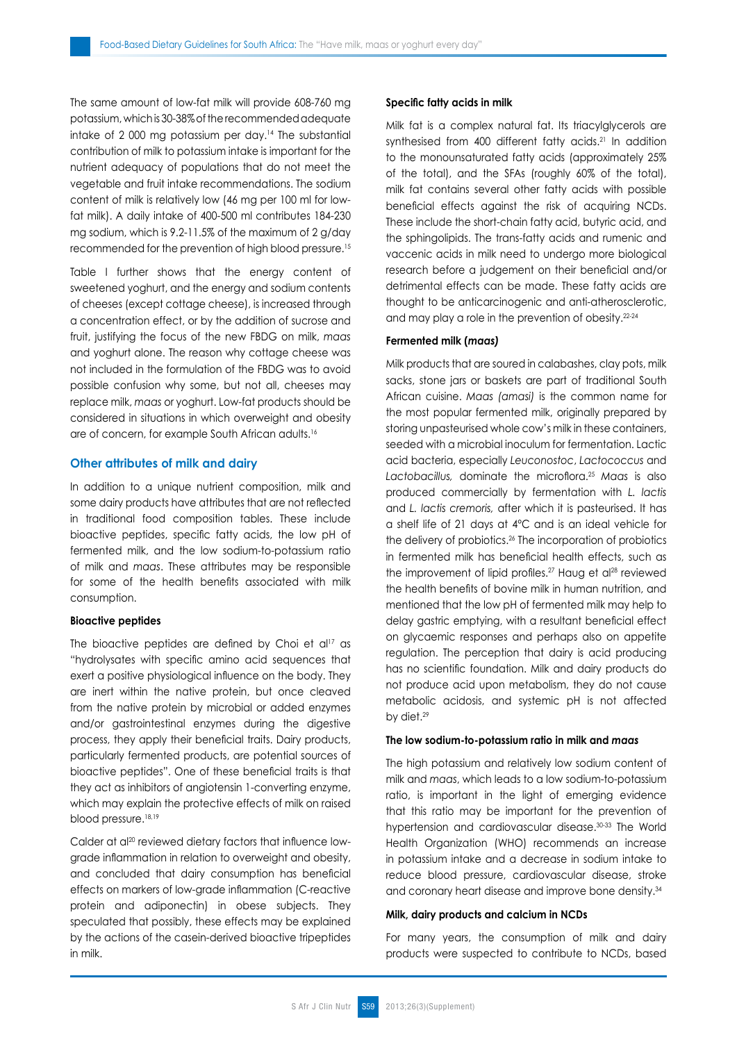The same amount of low-fat milk will provide 608-760 mg potassium, which is 30-38% of the recommended adequate intake of 2 000 mg potassium per day.<sup>14</sup> The substantial contribution of milk to potassium intake is important for the nutrient adequacy of populations that do not meet the vegetable and fruit intake recommendations. The sodium content of milk is relatively low (46 mg per 100 ml for lowfat milk). A daily intake of 400-500 ml contributes 184-230 mg sodium, which is 9.2-11.5% of the maximum of 2 g/day recommended for the prevention of high blood pressure.<sup>15</sup>

Table I further shows that the energy content of sweetened yoghurt, and the energy and sodium contents of cheeses (except cottage cheese), is increased through a concentration effect, or by the addition of sucrose and fruit, justifying the focus of the new FBDG on milk, *maas* and yoghurt alone. The reason why cottage cheese was not included in the formulation of the FBDG was to avoid possible confusion why some, but not all, cheeses may replace milk, *maas* or yoghurt. Low-fat products should be considered in situations in which overweight and obesity are of concern, for example South African adults.<sup>16</sup>

#### **Other attributes of milk and dairy**

In addition to a unique nutrient composition, milk and some dairy products have attributes that are not reflected in traditional food composition tables. These include bioactive peptides, specific fatty acids, the low pH of fermented milk, and the low sodium-to-potassium ratio of milk and *maas*. These attributes may be responsible for some of the health benefits associated with milk consumption.

#### **Bioactive peptides**

The bioactive peptides are defined by Choi et al<sup>17</sup> as "hydrolysates with specific amino acid sequences that exert a positive physiological influence on the body. They are inert within the native protein, but once cleaved from the native protein by microbial or added enzymes and/or gastrointestinal enzymes during the digestive process, they apply their beneficial traits. Dairy products, particularly fermented products, are potential sources of bioactive peptides". One of these beneficial traits is that they act as inhibitors of angiotensin 1-converting enzyme, which may explain the protective effects of milk on raised blood pressure.<sup>18,19</sup>

Calder at al<sup>20</sup> reviewed dietary factors that influence lowgrade inflammation in relation to overweight and obesity, and concluded that dairy consumption has beneficial effects on markers of low-grade inflammation (C-reactive protein and adiponectin) in obese subjects. They speculated that possibly, these effects may be explained by the actions of the casein-derived bioactive tripeptides in milk.

#### **Specific fatty acids in milk**

Milk fat is a complex natural fat. Its triacylglycerols are synthesised from 400 different fatty acids.<sup>21</sup> In addition to the monounsaturated fatty acids (approximately 25% of the total), and the SFAs (roughly 60% of the total), milk fat contains several other fatty acids with possible beneficial effects against the risk of acquiring NCDs. These include the short-chain fatty acid, butyric acid, and the sphingolipids. The trans-fatty acids and rumenic and vaccenic acids in milk need to undergo more biological research before a judgement on their beneficial and/or detrimental effects can be made. These fatty acids are thought to be anticarcinogenic and anti-atherosclerotic, and may play a role in the prevention of obesity.<sup>22-24</sup>

#### **Fermented milk (***maas)*

Milk products that are soured in calabashes, clay pots, milk sacks, stone jars or baskets are part of traditional South African cuisine. *Maas (amasi)* is the common name for the most popular fermented milk, originally prepared by storing unpasteurised whole cow's milk in these containers, seeded with a microbial inoculum for fermentation. Lactic acid bacteria, especially *Leuconostoc*, *Lactococcus* and *Lactobacillus,* dominate the microflora.25 *Maas* is also produced commercially by fermentation with *L. lactis*  and *L. lactis cremoris,* after which it is pasteurised. It has a shelf life of 21 days at 4°C and is an ideal vehicle for the delivery of probiotics.26 The incorporation of probiotics in fermented milk has beneficial health effects, such as the improvement of lipid profiles.<sup>27</sup> Haug et al<sup>28</sup> reviewed the health benefits of bovine milk in human nutrition, and mentioned that the low pH of fermented milk may help to delay gastric emptying, with a resultant beneficial effect on glycaemic responses and perhaps also on appetite regulation. The perception that dairy is acid producing has no scientific foundation. Milk and dairy products do not produce acid upon metabolism, they do not cause metabolic acidosis, and systemic pH is not affected by diet.<sup>29</sup>

#### **The low sodium-to-potassium ratio in milk and** *maas*

The high potassium and relatively low sodium content of milk and *maas*, which leads to a low sodium-to-potassium ratio, is important in the light of emerging evidence that this ratio may be important for the prevention of hypertension and cardiovascular disease.<sup>30-33</sup> The World Health Organization (WHO) recommends an increase in potassium intake and a decrease in sodium intake to reduce blood pressure, cardiovascular disease, stroke and coronary heart disease and improve bone density.34

#### **Milk, dairy products and calcium in NCDs**

For many years, the consumption of milk and dairy products were suspected to contribute to NCDs, based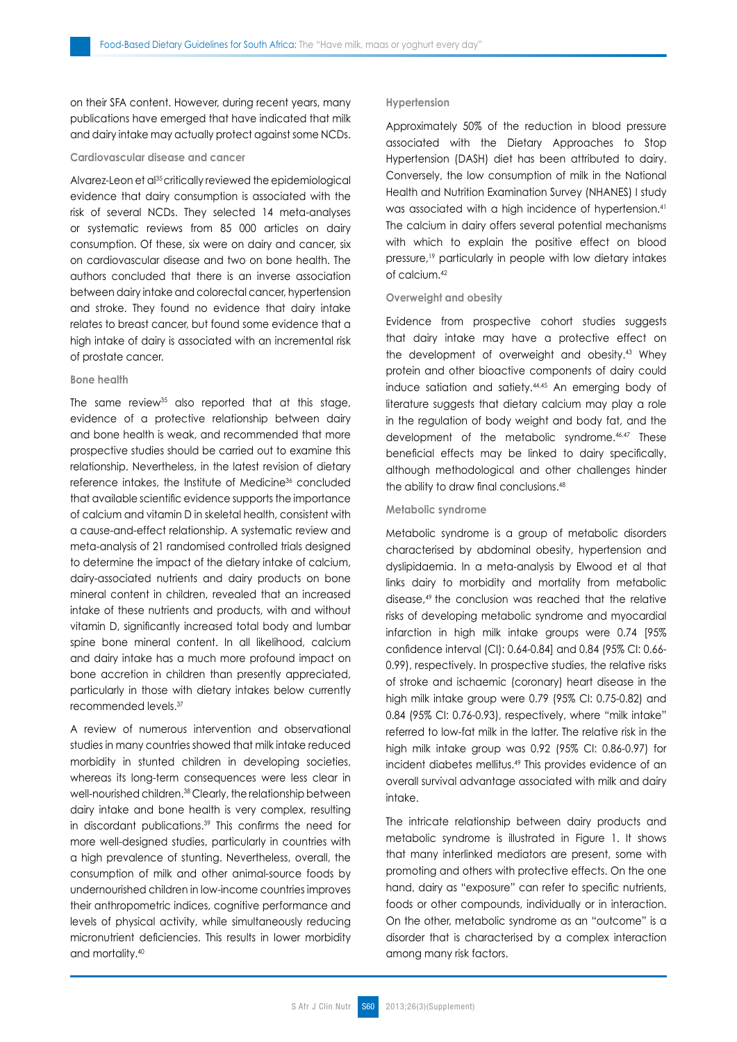on their SFA content. However, during recent years, many publications have emerged that have indicated that milk and dairy intake may actually protect against some NCDs.

### **Cardiovascular disease and cancer**

Alvarez-Leon et al<sup>35</sup> critically reviewed the epidemiological evidence that dairy consumption is associated with the risk of several NCDs. They selected 14 meta-analyses or systematic reviews from 85 000 articles on dairy consumption. Of these, six were on dairy and cancer, six on cardiovascular disease and two on bone health. The authors concluded that there is an inverse association between dairy intake and colorectal cancer, hypertension and stroke. They found no evidence that dairy intake relates to breast cancer, but found some evidence that a high intake of dairy is associated with an incremental risk of prostate cancer.

#### **Bone health**

The same review<sup>35</sup> also reported that at this stage, evidence of a protective relationship between dairy and bone health is weak, and recommended that more prospective studies should be carried out to examine this relationship. Nevertheless, in the latest revision of dietary reference intakes, the Institute of Medicine<sup>36</sup> concluded that available scientific evidence supports the importance of calcium and vitamin D in skeletal health, consistent with a cause-and-effect relationship. A systematic review and meta-analysis of 21 randomised controlled trials designed to determine the impact of the dietary intake of calcium, dairy-associated nutrients and dairy products on bone mineral content in children, revealed that an increased intake of these nutrients and products, with and without vitamin D, significantly increased total body and lumbar spine bone mineral content. In all likelihood, calcium and dairy intake has a much more profound impact on bone accretion in children than presently appreciated, particularly in those with dietary intakes below currently recommended levels.<sup>37</sup>

A review of numerous intervention and observational studies in many countries showed that milk intake reduced morbidity in stunted children in developing societies, whereas its long-term consequences were less clear in well-nourished children.<sup>38</sup> Clearly, the relationship between dairy intake and bone health is very complex, resulting in discordant publications.<sup>39</sup> This confirms the need for more well-designed studies, particularly in countries with a high prevalence of stunting. Nevertheless, overall, the consumption of milk and other animal-source foods by undernourished children in low-income countries improves their anthropometric indices, cognitive performance and levels of physical activity, while simultaneously reducing micronutrient deficiencies. This results in lower morbidity and mortality.40

#### **Hypertension**

Approximately 50% of the reduction in blood pressure associated with the Dietary Approaches to Stop Hypertension (DASH) diet has been attributed to dairy. Conversely, the low consumption of milk in the National Health and Nutrition Examination Survey (NHANES) I study was associated with a high incidence of hypertension.<sup>41</sup> The calcium in dairy offers several potential mechanisms with which to explain the positive effect on blood pressure,<sup>19</sup> particularly in people with low dietary intakes of calcium.42

#### **Overweight and obesity**

Evidence from prospective cohort studies suggests that dairy intake may have a protective effect on the development of overweight and obesity.43 Whey protein and other bioactive components of dairy could induce satiation and satiety.44,45 An emerging body of literature suggests that dietary calcium may play a role in the regulation of body weight and body fat, and the development of the metabolic syndrome.46,47 These beneficial effects may be linked to dairy specifically, although methodological and other challenges hinder the ability to draw final conclusions.48

#### **Metabolic syndrome**

Metabolic syndrome is a group of metabolic disorders characterised by abdominal obesity, hypertension and dyslipidaemia. In a meta-analysis by Elwood et al that links dairy to morbidity and mortality from metabolic disease,49 the conclusion was reached that the relative risks of developing metabolic syndrome and myocardial infarction in high milk intake groups were 0.74 [95% confidence interval (CI): 0.64-0.84] and 0.84 (95% CI: 0.66- 0.99), respectively. In prospective studies, the relative risks of stroke and ischaemic (coronary) heart disease in the high milk intake group were 0.79 (95% CI: 0.75-0.82) and 0.84 (95% CI: 0.76-0.93), respectively, where "milk intake" referred to low-fat milk in the latter. The relative risk in the high milk intake group was 0.92 (95% CI: 0.86-0.97) for incident diabetes mellitus.49 This provides evidence of an overall survival advantage associated with milk and dairy intake.

The intricate relationship between dairy products and metabolic syndrome is illustrated in Figure 1. It shows that many interlinked mediators are present, some with promoting and others with protective effects. On the one hand, dairy as "exposure" can refer to specific nutrients, foods or other compounds, individually or in interaction. On the other, metabolic syndrome as an "outcome" is a disorder that is characterised by a complex interaction among many risk factors.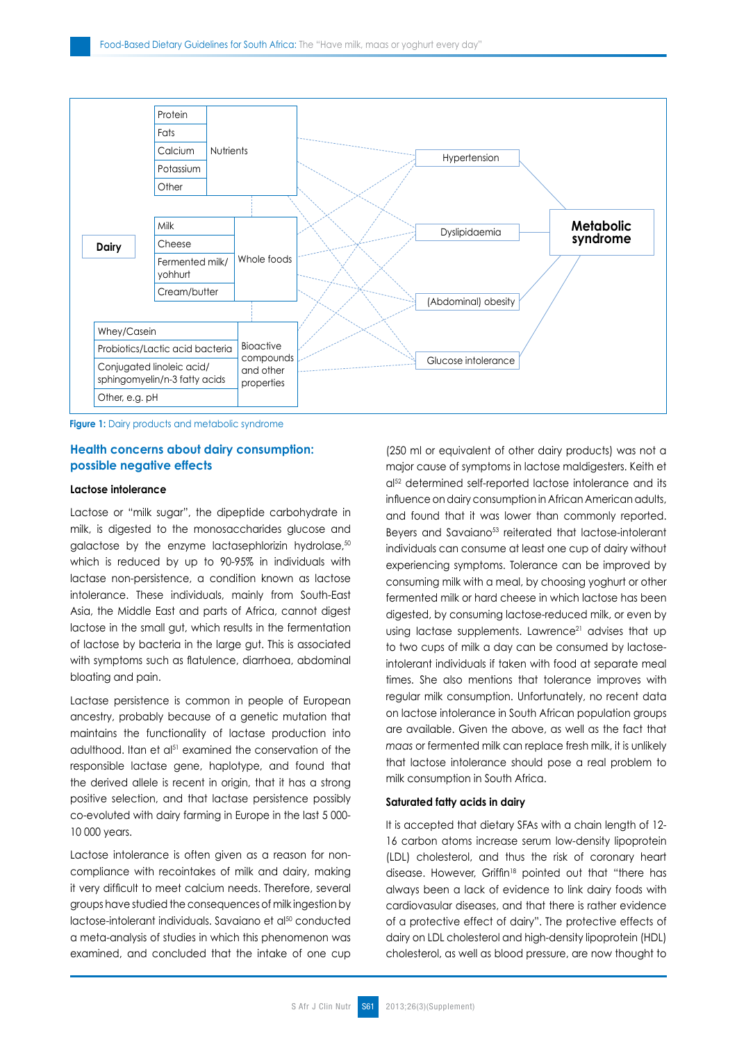

**Figure 1:** Dairy products and metabolic syndrome

## **Health concerns about dairy consumption: possible negative effects**

#### **Lactose intolerance**

Lactose or "milk sugar", the dipeptide carbohydrate in milk, is digested to the monosaccharides glucose and galactose by the enzyme lactasephlorizin hydrolase,<sup>50</sup> which is reduced by up to 90-95% in individuals with lactase non-persistence, a condition known as lactose intolerance. These individuals, mainly from South-East Asia, the Middle East and parts of Africa, cannot digest lactose in the small gut, which results in the fermentation of lactose by bacteria in the large gut. This is associated with symptoms such as flatulence, diarrhoea, abdominal bloating and pain.

Lactase persistence is common in people of European ancestry, probably because of a genetic mutation that maintains the functionality of lactase production into adulthood. Itan et al<sup>51</sup> examined the conservation of the responsible lactase gene, haplotype, and found that the derived allele is recent in origin, that it has a strong positive selection, and that lactase persistence possibly co-evoluted with dairy farming in Europe in the last 5 000- 10 000 years.

Lactose intolerance is often given as a reason for noncompliance with recointakes of milk and dairy, making it very difficult to meet calcium needs. Therefore, several groups have studied the consequences of milk ingestion by lactose-intolerant individuals. Savaiano et al<sup>50</sup> conducted a meta-analysis of studies in which this phenomenon was examined, and concluded that the intake of one cup (250 ml or equivalent of other dairy products) was not a major cause of symptoms in lactose maldigesters. Keith et al<sup>52</sup> determined self-reported lactose intolerance and its influence on dairy consumption in African American adults, and found that it was lower than commonly reported. Beyers and Savaiano<sup>53</sup> reiterated that lactose-intolerant individuals can consume at least one cup of dairy without experiencing symptoms. Tolerance can be improved by consuming milk with a meal, by choosing yoghurt or other fermented milk or hard cheese in which lactose has been digested, by consuming lactose-reduced milk, or even by using lactase supplements. Lawrence<sup>21</sup> advises that up to two cups of milk a day can be consumed by lactoseintolerant individuals if taken with food at separate meal times. She also mentions that tolerance improves with regular milk consumption. Unfortunately, no recent data on lactose intolerance in South African population groups are available. Given the above, as well as the fact that *maas* or fermented milk can replace fresh milk, it is unlikely that lactose intolerance should pose a real problem to milk consumption in South Africa.

#### **Saturated fatty acids in dairy**

It is accepted that dietary SFAs with a chain length of 12- 16 carbon atoms increase serum low-density lipoprotein (LDL) cholesterol, and thus the risk of coronary heart disease. However, Griffin<sup>18</sup> pointed out that "there has always been a lack of evidence to link dairy foods with cardiovasular diseases, and that there is rather evidence of a protective effect of dairy". The protective effects of dairy on LDL cholesterol and high-density lipoprotein (HDL) cholesterol, as well as blood pressure, are now thought to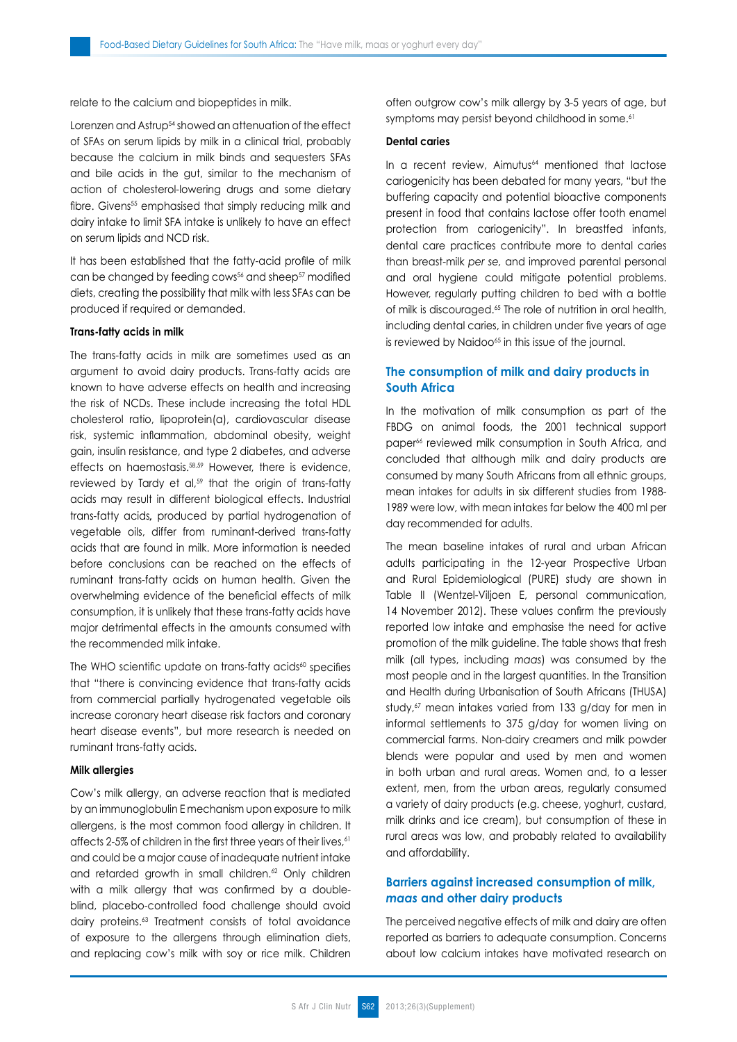relate to the calcium and biopeptides in milk.

Lorenzen and Astrup<sup>54</sup> showed an attenuation of the effect of SFAs on serum lipids by milk in a clinical trial, probably because the calcium in milk binds and sequesters SFAs and bile acids in the gut, similar to the mechanism of action of cholesterol-lowering drugs and some dietary fibre. Givens<sup>55</sup> emphasised that simply reducing milk and dairy intake to limit SFA intake is unlikely to have an effect on serum lipids and NCD risk.

It has been established that the fatty-acid profile of milk can be changed by feeding cows<sup>56</sup> and sheep<sup>57</sup> modified diets, creating the possibility that milk with less SFAs can be produced if required or demanded.

#### **Trans-fatty acids in milk**

The trans-fatty acids in milk are sometimes used as an argument to avoid dairy products. Trans-fatty acids are known to have adverse effects on health and increasing the risk of NCDs. These include increasing the total HDL cholesterol ratio, lipoprotein(a), cardiovascular disease risk, systemic inflammation, abdominal obesity, weight gain, insulin resistance, and type 2 diabetes, and adverse effects on haemostasis.<sup>58,59</sup> However, there is evidence, reviewed by Tardy et al,<sup>59</sup> that the origin of trans-fatty acids may result in different biological effects. Industrial trans-fatty acids*,* produced by partial hydrogenation of vegetable oils, differ from ruminant-derived trans-fatty acids that are found in milk. More information is needed before conclusions can be reached on the effects of ruminant trans-fatty acids on human health. Given the overwhelming evidence of the beneficial effects of milk consumption, it is unlikely that these trans-fatty acids have major detrimental effects in the amounts consumed with the recommended milk intake.

The WHO scientific update on trans-fatty acids<sup>60</sup> specifies that "there is convincing evidence that trans-fatty acids from commercial partially hydrogenated vegetable oils increase coronary heart disease risk factors and coronary heart disease events", but more research is needed on ruminant trans-fatty acids.

#### **Milk allergies**

Cow's milk allergy, an adverse reaction that is mediated by an immunoglobulin E mechanism upon exposure to milk allergens, is the most common food allergy in children. It affects 2-5% of children in the first three years of their lives, 61 and could be a major cause of inadequate nutrient intake and retarded growth in small children.<sup>62</sup> Only children with a milk allergy that was confirmed by a doubleblind, placebo-controlled food challenge should avoid dairy proteins.<sup>63</sup> Treatment consists of total avoidance of exposure to the allergens through elimination diets, and replacing cow's milk with soy or rice milk. Children often outgrow cow's milk allergy by 3-5 years of age, but symptoms may persist beyond childhood in some.<sup>61</sup>

#### **Dental caries**

In a recent review, Aimutus<sup>64</sup> mentioned that lactose cariogenicity has been debated for many years, "but the buffering capacity and potential bioactive components present in food that contains lactose offer tooth enamel protection from cariogenicity". In breastfed infants, dental care practices contribute more to dental caries than breast-milk *per se,* and improved parental personal and oral hygiene could mitigate potential problems. However, regularly putting children to bed with a bottle of milk is discouraged.<sup>65</sup> The role of nutrition in oral health, including dental caries, in children under five years of age is reviewed by Naidoo<sup>65</sup> in this issue of the journal.

## **The consumption of milk and dairy products in South Africa**

In the motivation of milk consumption as part of the FBDG on animal foods, the 2001 technical support paper<sup>66</sup> reviewed milk consumption in South Africa, and concluded that although milk and dairy products are consumed by many South Africans from all ethnic groups, mean intakes for adults in six different studies from 1988- 1989 were low, with mean intakes far below the 400 ml per day recommended for adults.

The mean baseline intakes of rural and urban African adults participating in the 12-year Prospective Urban and Rural Epidemiological (PURE) study are shown in Table II (Wentzel-Viljoen E, personal communication, 14 November 2012). These values confirm the previously reported low intake and emphasise the need for active promotion of the milk guideline. The table shows that fresh milk (all types, including *maas*) was consumed by the most people and in the largest quantities. In the Transition and Health during Urbanisation of South Africans (THUSA) study, $67$  mean intakes varied from 133 g/day for men in informal settlements to 375 g/day for women living on commercial farms. Non-dairy creamers and milk powder blends were popular and used by men and women in both urban and rural areas. Women and, to a lesser extent, men, from the urban areas, regularly consumed a variety of dairy products (e.g. cheese, yoghurt, custard, milk drinks and ice cream), but consumption of these in rural areas was low, and probably related to availability and affordability.

## **Barriers against increased consumption of milk,**  *maas* **and other dairy products**

The perceived negative effects of milk and dairy are often reported as barriers to adequate consumption. Concerns about low calcium intakes have motivated research on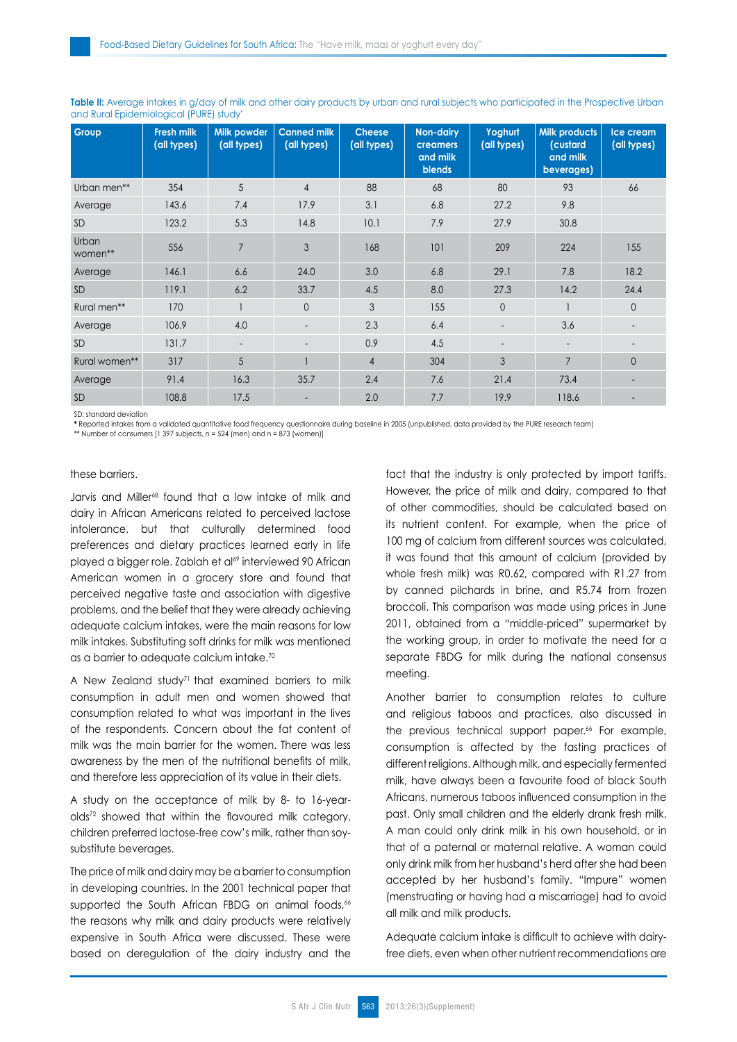| Group            | <b>Fresh milk</b><br>(all types) | Milk powder<br>(all types) | <b>Canned milk</b><br>(all types) | <b>Cheese</b><br>(all types) | <b>Non-dairy</b><br><b>creamers</b><br>and milk<br><b>blends</b> | Yoghurt<br>(all types)   | Milk products<br>(custard<br>and milk<br>beverages) | Ice cream<br>(all types) |
|------------------|----------------------------------|----------------------------|-----------------------------------|------------------------------|------------------------------------------------------------------|--------------------------|-----------------------------------------------------|--------------------------|
| Urban men**      | 354                              | 5                          | $\overline{4}$                    | 88                           | 68                                                               | 80                       | 93                                                  | 66                       |
| Average          | 143.6                            | 7.4                        | 17.9                              | 3.1                          | 6.8                                                              | 27.2                     | 9.8                                                 |                          |
| <b>SD</b>        | 123.2                            | 5.3                        | 14.8                              | 10.1                         | 7.9                                                              | 27.9                     | 30.8                                                |                          |
| Urban<br>women** | 556                              | $\overline{7}$             | 3                                 | 168                          | 101                                                              | 209                      | 224                                                 | 155                      |
| Average          | 146.1                            | 6.6                        | 24.0                              | 3.0                          | 6.8                                                              | 29.1                     | 7.8                                                 | 18.2                     |
| <b>SD</b>        | 119.1                            | 6.2                        | 33.7                              | 4.5                          | 8.0                                                              | 27.3                     | 14.2                                                | 24.4                     |
| Rural men**      | 170                              |                            | $\overline{0}$                    | 3                            | 155                                                              | $\mathbf{0}$             |                                                     | $\mathbf{0}$             |
| Average          | 106.9                            | 4.0                        | $\overline{\phantom{a}}$          | 2.3                          | 6.4                                                              | $\overline{\phantom{a}}$ | 3.6                                                 |                          |
| <b>SD</b>        | 131.7                            | $\sim$                     |                                   | 0.9                          | 4.5                                                              | $\overline{\phantom{a}}$ |                                                     |                          |
| Rural women**    | 317                              | 5                          |                                   | $\overline{4}$               | 304                                                              | 3                        | 7                                                   | $\Omega$                 |
| Average          | 91.4                             | 16.3                       | 35.7                              | 2.4                          | 7.6                                                              | 21.4                     | 73.4                                                |                          |
| SD               | 108.8                            | 17.5                       |                                   | 2.0                          | 7.7                                                              | 19.9                     | 118.6                                               |                          |

Table II: Average intakes in g/day of milk and other dairy products by urban and rural subjects who participated in the Prospective Urban and Rural Epidemiological (PURE) study\*

SD: standard deviation

**\*** Reported intakes from a validated quantitative food frequency questionnaire during baseline in 2005 (unpublished, data provided by the PURE research team)

\*\* Number of consumers [1 397 subjects, n = 524 (men) and n = 873 (women)]

#### these barriers.

Jarvis and Miller<sup>68</sup> found that a low intake of milk and dairy in African Americans related to perceived lactose intolerance, but that culturally determined food preferences and dietary practices learned early in life played a bigger role. Zablah et al69 interviewed 90 African American women in a grocery store and found that perceived negative taste and association with digestive problems, and the belief that they were already achieving adequate calcium intakes, were the main reasons for low milk intakes. Substituting soft drinks for milk was mentioned as a barrier to adequate calcium intake.70

A New Zealand study<sup>71</sup> that examined barriers to milk consumption in adult men and women showed that consumption related to what was important in the lives of the respondents. Concern about the fat content of milk was the main barrier for the women. There was less awareness by the men of the nutritional benefits of milk, and therefore less appreciation of its value in their diets.

A study on the acceptance of milk by 8- to 16-yearolds72 showed that within the flavoured milk category, children preferred lactose-free cow's milk, rather than soysubstitute beverages.

The price of milk and dairy may be a barrier to consumption in developing countries. In the 2001 technical paper that supported the South African FBDG on animal foods,<sup>66</sup> the reasons why milk and dairy products were relatively expensive in South Africa were discussed. These were based on deregulation of the dairy industry and the fact that the industry is only protected by import tariffs. However, the price of milk and dairy, compared to that of other commodities, should be calculated based on its nutrient content. For example, when the price of 100 mg of calcium from different sources was calculated, it was found that this amount of calcium (provided by whole fresh milk) was R0.62, compared with R1.27 from by canned pilchards in brine, and R5.74 from frozen broccoli. This comparison was made using prices in June 2011, obtained from a "middle-priced" supermarket by the working group, in order to motivate the need for a separate FBDG for milk during the national consensus meeting.

Another barrier to consumption relates to culture and religious taboos and practices, also discussed in the previous technical support paper.<sup>66</sup> For example, consumption is affected by the fasting practices of different religions. Although milk, and especially fermented milk, have always been a favourite food of black South Africans, numerous taboos influenced consumption in the past. Only small children and the elderly drank fresh milk. A man could only drink milk in his own household, or in that of a paternal or maternal relative. A woman could only drink milk from her husband's herd after she had been accepted by her husband's family. "Impure" women (menstruating or having had a miscarriage) had to avoid all milk and milk products.

Adequate calcium intake is difficult to achieve with dairyfree diets, even when other nutrient recommendations are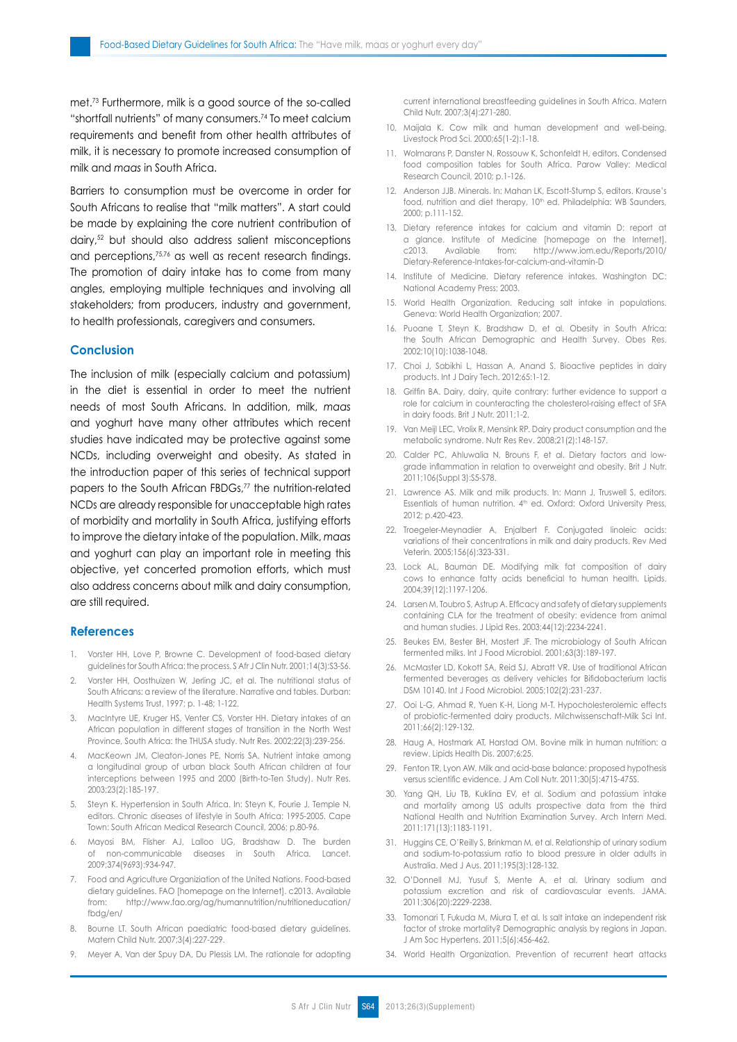met.<sup>73</sup> Furthermore, milk is a good source of the so-called "shortfall nutrients" of many consumers.74 To meet calcium requirements and benefit from other health attributes of milk, it is necessary to promote increased consumption of milk and *maas* in South Africa.

Barriers to consumption must be overcome in order for South Africans to realise that "milk matters". A start could be made by explaining the core nutrient contribution of dairy,52 but should also address salient misconceptions and perceptions,75,76 as well as recent research findings. The promotion of dairy intake has to come from many angles, employing multiple techniques and involving all stakeholders; from producers, industry and government, to health professionals, caregivers and consumers.

## **Conclusion**

The inclusion of milk (especially calcium and potassium) in the diet is essential in order to meet the nutrient needs of most South Africans. In addition, milk, *maas* and yoghurt have many other attributes which recent studies have indicated may be protective against some NCDs, including overweight and obesity. As stated in the introduction paper of this series of technical support papers to the South African FBDGs,<sup>77</sup> the nutrition-related NCDs are already responsible for unacceptable high rates of morbidity and mortality in South Africa, justifying efforts to improve the dietary intake of the population. Milk, *maas* and yoghurt can play an important role in meeting this objective, yet concerted promotion efforts, which must also address concerns about milk and dairy consumption, are still required.

### **References**

- 1. Vorster HH, Love P, Browne C. Development of food-based dietary guidelines for South Africa: the process. S Afr J Clin Nutr. 2001;14(3):S3-S6.
- 2. Vorster HH, Oosthuizen W, Jerling JC, et al. The nutritional status of South Africans: a review of the literature. Narrative and tables. Durban: Health Systems Trust, 1997; p. 1-48; 1-122.
- 3. MacIntyre UE, Kruger HS, Venter CS, Vorster HH. Dietary intakes of an African population in different stages of transition in the North West Province, South Africa: the THUSA study. Nutr Res. 2002;22(3):239-256.
- 4. MacKeown JM, Cleaton-Jones PE, Norris SA. Nutrient intake among a longitudinal group of urban black South African children at four interceptions between 1995 and 2000 (Birth-to-Ten Study). Nutr Res. 2003;23(2):185-197.
- 5. Steyn K. Hypertension in South Africa. In: Steyn K, Fourie J, Temple N, editors. Chronic diseases of lifestyle in South Africa: 1995-2005. Cape Town: South African Medical Research Council, 2006; p.80-96.
- 6. Mayosi BM, Flisher AJ, Lalloo UG, Bradshaw D. The burden of non-communicable diseases in South Africa. Lancet. 2009;374(9693):934-947.
- 7. Food and Agriculture Organiziation of the United Nations. Food-based dietary guidelines. FAO [homepage on the Internet]. c2013. Available from: http://www.fao.org/ag/humannutrition/nutritioneducation/ fbdg/en/
- 8. Bourne LT. South African paediatric food-based dietary guidelines. Matern Child Nutr. 2007;3(4):227-229.
- 9. Meyer A, Van der Spuy DA, Du Plessis LM. The rationale for adopting

current international breastfeeding guidelines in South Africa. Matern Child Nutr. 2007;3(4):271-280.

- 10. Maijala K. Cow milk and human development and well-being. Livestock Prod Sci. 2000;65(1-2):1-18.
- 11. Wolmarans P, Danster N, Rossouw K, Schonfeldt H, editors. Condensed food composition tables for South Africa. Parow Valley: Medical Research Council, 2010; p.1-126.
- 12. Anderson JJB. Minerals. In: Mahan LK, Escott-Stump S, editors. Krause's food, nutrition and diet therapy, 10<sup>th</sup> ed. Philadelphia: WB Saunders, 2000; p.111-152.
- 13. Dietary reference intakes for calcium and vitamin D: report at a glance. Institute of Medicine [homepage on the Internet]. c2013. Available from: http://www.iom.edu/Reports/2010/ Dietary-Reference-Intakes-for-calcium-and-vitamin-D
- 14. Institute of Medicine. Dietary reference intakes. Washington DC: National Academy Press; 2003.
- 15. World Health Organization. Reducing salt intake in populations. Geneva: World Health Organization; 2007.
- 16. Puoane T, Steyn K, Bradshaw D, et al. Obesity in South Africa: the South African Demographic and Health Survey. Obes Res. 2002;10(10):1038-1048.
- 17. Choi J, Sabikhi L, Hassan A, Anand S. Bioactive peptides in dairy products. Int J Dairy Tech. 2012;65:1-12.
- 18. Griffin BA. Dairy, dairy, quite contrary: further evidence to support a role for calcium in counteracting the cholesterol-raising effect of SFA in dairy foods. Brit J Nutr. 2011;1-2.
- 19. Van Meijl LEC, Vrolix R, Mensink RP. Dairy product consumption and the metabolic syndrome. Nutr Res Rev. 2008;21(2):148-157.
- 20. Calder PC, Ahluwalia N, Brouns F, et al. Dietary factors and lowgrade inflammation in relation to overweight and obesity. Brit J Nutr. 2011;106(Suppl 3):S5-S78.
- 21. Lawrence AS. Milk and milk products. In: Mann J, Truswell S, editors. Essentials of human nutrition. 4<sup>th</sup> ed. Oxford: Oxford University Press, 2012; p.420-423.
- 22. Troegeler-Meynadier A, Enjalbert F. Conjugated linoleic acids: variations of their concentrations in milk and dairy products. Rev Med Veterin. 2005;156(6):323-331.
- 23. Lock AL, Bauman DE. Modifying milk fat composition of dairy cows to enhance fatty acids beneficial to human health. Lipids. 2004;39(12):1197-1206.
- 24. Larsen M, Toubro S, Astrup A. Efficacy and safety of dietary supplements containing CLA for the treatment of obesity: evidence from animal and human studies. J Lipid Res. 2003;44(12):2234-2241.
- 25. Beukes EM, Bester BH, Mostert JF. The microbiology of South African fermented milks. Int J Food Microbiol. 2001;63(3):189-197.
- 26. McMaster LD, Kokott SA, Reid SJ, Abratt VR. Use of traditional African fermented beverages as delivery vehicles for Bifidobacterium lactis DSM 10140. Int J Food Microbiol. 2005;102(2):231-237.
- 27. Ooi L-G, Ahmad R, Yuen K-H, Liong M-T. Hypocholesterolemic effects of probiotic-fermented dairy products. Milchwissenschaft-Milk Sci Int. 2011;66(2):129-132.
- 28. Haug A, Hostmark AT, Harstad OM, Bovine milk in human nutrition: a review. Lipids Health Dis. 2007;6:25.
- 29. Fenton TR, Lyon AW. Milk and acid-base balance: proposed hypothesis versus scientific evidence. J Am Coll Nutr. 2011;30(5):471S-475S.
- 30. Yang QH, Liu TB, Kuklina EV, et al. Sodium and potassium intake and mortality among US adults prospective data from the third National Health and Nutrition Examination Survey. Arch Intern Med. 2011:171(13):1183-1191.
- 31. Huggins CE, O'Reilly S, Brinkman M, et al. Relationship of urinary sodium and sodium-to-potassium ratio to blood pressure in older adults in Australia. Med J Aus. 2011;195(3):128-132.
- 32. O'Donnell MJ, Yusuf S, Mente A, et al. Urinary sodium and potassium excretion and risk of cardiovascular events. JAMA. 2011;306(20):2229-2238.
- 33. Tomonari T, Fukuda M, Miura T, et al. Is salt intake an independent risk factor of stroke mortality? Demographic analysis by regions in Japan. J Am Soc Hypertens. 2011;5(6):456-462.
- 34. World Health Organization. Prevention of recurrent heart attacks